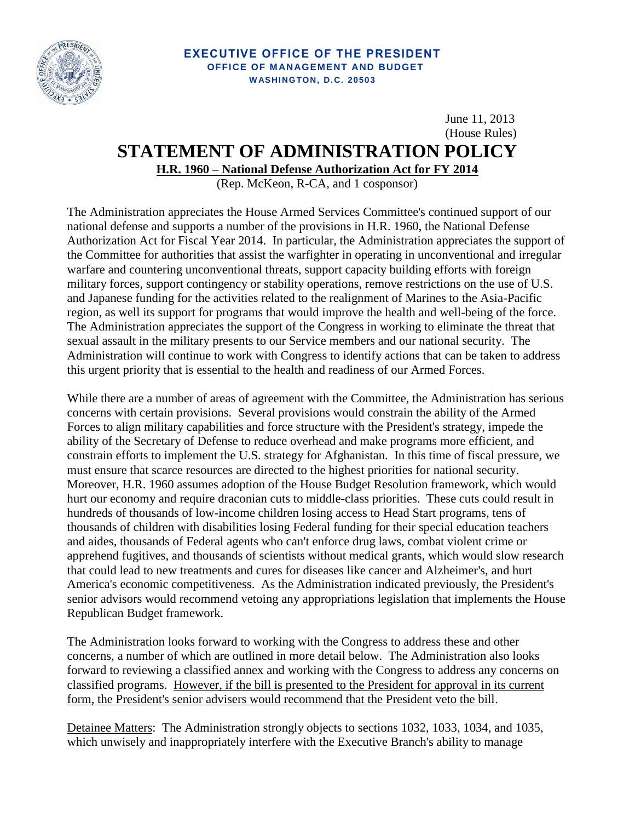

## **EXECUTIVE OFFICE OF THE PRESIDENT OFFICE OF MANAGEMENT AND BUDGET W ASHINGTON, D. C. 20503**

June 11, 2013 (House Rules)

## **STATEMENT OF ADMINISTRATION POLICY**

**H.R. 1960 – National Defense Authorization Act for FY 2014**

(Rep. McKeon, R-CA, and 1 cosponsor)

The Administration appreciates the House Armed Services Committee's continued support of our national defense and supports a number of the provisions in H.R. 1960, the National Defense Authorization Act for Fiscal Year 2014. In particular, the Administration appreciates the support of the Committee for authorities that assist the warfighter in operating in unconventional and irregular warfare and countering unconventional threats, support capacity building efforts with foreign military forces, support contingency or stability operations, remove restrictions on the use of U.S. and Japanese funding for the activities related to the realignment of Marines to the Asia-Pacific region, as well its support for programs that would improve the health and well-being of the force. The Administration appreciates the support of the Congress in working to eliminate the threat that sexual assault in the military presents to our Service members and our national security. The Administration will continue to work with Congress to identify actions that can be taken to address this urgent priority that is essential to the health and readiness of our Armed Forces.

While there are a number of areas of agreement with the Committee, the Administration has serious concerns with certain provisions. Several provisions would constrain the ability of the Armed Forces to align military capabilities and force structure with the President's strategy, impede the ability of the Secretary of Defense to reduce overhead and make programs more efficient, and constrain efforts to implement the U.S. strategy for Afghanistan. In this time of fiscal pressure, we must ensure that scarce resources are directed to the highest priorities for national security. Moreover, H.R. 1960 assumes adoption of the House Budget Resolution framework, which would hurt our economy and require draconian cuts to middle-class priorities. These cuts could result in hundreds of thousands of low-income children losing access to Head Start programs, tens of thousands of children with disabilities losing Federal funding for their special education teachers and aides, thousands of Federal agents who can't enforce drug laws, combat violent crime or apprehend fugitives, and thousands of scientists without medical grants, which would slow research that could lead to new treatments and cures for diseases like cancer and Alzheimer's, and hurt America's economic competitiveness. As the Administration indicated previously, the President's senior advisors would recommend vetoing any appropriations legislation that implements the House Republican Budget framework.

The Administration looks forward to working with the Congress to address these and other concerns, a number of which are outlined in more detail below. The Administration also looks forward to reviewing a classified annex and working with the Congress to address any concerns on classified programs. However, if the bill is presented to the President for approval in its current form, the President's senior advisers would recommend that the President veto the bill.

Detainee Matters: The Administration strongly objects to sections 1032, 1033, 1034, and 1035, which unwisely and inappropriately interfere with the Executive Branch's ability to manage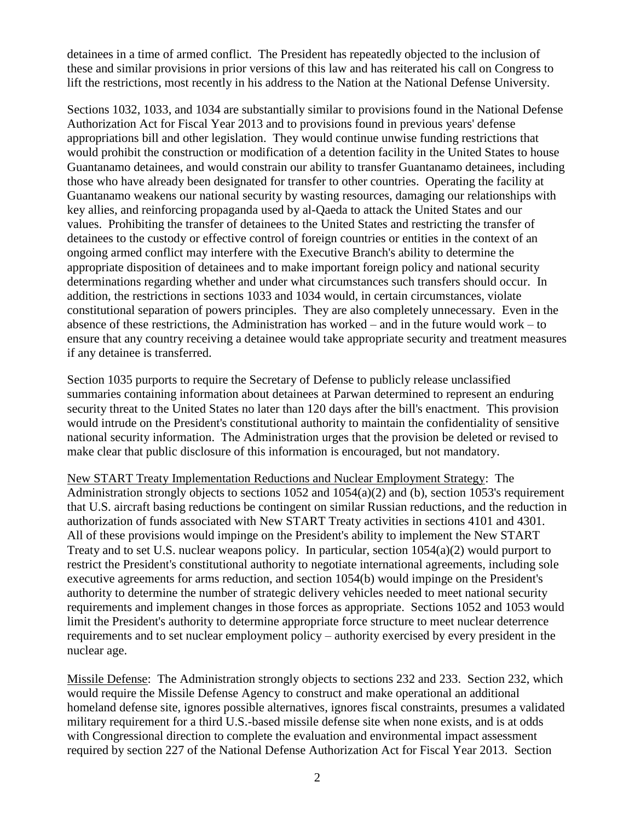detainees in a time of armed conflict. The President has repeatedly objected to the inclusion of these and similar provisions in prior versions of this law and has reiterated his call on Congress to lift the restrictions, most recently in his address to the Nation at the National Defense University.

Sections 1032, 1033, and 1034 are substantially similar to provisions found in the National Defense Authorization Act for Fiscal Year 2013 and to provisions found in previous years' defense appropriations bill and other legislation. They would continue unwise funding restrictions that would prohibit the construction or modification of a detention facility in the United States to house Guantanamo detainees, and would constrain our ability to transfer Guantanamo detainees, including those who have already been designated for transfer to other countries. Operating the facility at Guantanamo weakens our national security by wasting resources, damaging our relationships with key allies, and reinforcing propaganda used by al-Qaeda to attack the United States and our values. Prohibiting the transfer of detainees to the United States and restricting the transfer of detainees to the custody or effective control of foreign countries or entities in the context of an ongoing armed conflict may interfere with the Executive Branch's ability to determine the appropriate disposition of detainees and to make important foreign policy and national security determinations regarding whether and under what circumstances such transfers should occur. In addition, the restrictions in sections 1033 and 1034 would, in certain circumstances, violate constitutional separation of powers principles. They are also completely unnecessary. Even in the absence of these restrictions, the Administration has worked – and in the future would work – to ensure that any country receiving a detainee would take appropriate security and treatment measures if any detainee is transferred.

Section 1035 purports to require the Secretary of Defense to publicly release unclassified summaries containing information about detainees at Parwan determined to represent an enduring security threat to the United States no later than 120 days after the bill's enactment. This provision would intrude on the President's constitutional authority to maintain the confidentiality of sensitive national security information. The Administration urges that the provision be deleted or revised to make clear that public disclosure of this information is encouraged, but not mandatory.

New START Treaty Implementation Reductions and Nuclear Employment Strategy: The Administration strongly objects to sections 1052 and 1054(a)(2) and (b), section 1053's requirement that U.S. aircraft basing reductions be contingent on similar Russian reductions, and the reduction in authorization of funds associated with New START Treaty activities in sections 4101 and 4301. All of these provisions would impinge on the President's ability to implement the New START Treaty and to set U.S. nuclear weapons policy. In particular, section 1054(a)(2) would purport to restrict the President's constitutional authority to negotiate international agreements, including sole executive agreements for arms reduction, and section 1054(b) would impinge on the President's authority to determine the number of strategic delivery vehicles needed to meet national security requirements and implement changes in those forces as appropriate. Sections 1052 and 1053 would limit the President's authority to determine appropriate force structure to meet nuclear deterrence requirements and to set nuclear employment policy – authority exercised by every president in the nuclear age.

Missile Defense: The Administration strongly objects to sections 232 and 233. Section 232, which would require the Missile Defense Agency to construct and make operational an additional homeland defense site, ignores possible alternatives, ignores fiscal constraints, presumes a validated military requirement for a third U.S.-based missile defense site when none exists, and is at odds with Congressional direction to complete the evaluation and environmental impact assessment required by section 227 of the National Defense Authorization Act for Fiscal Year 2013. Section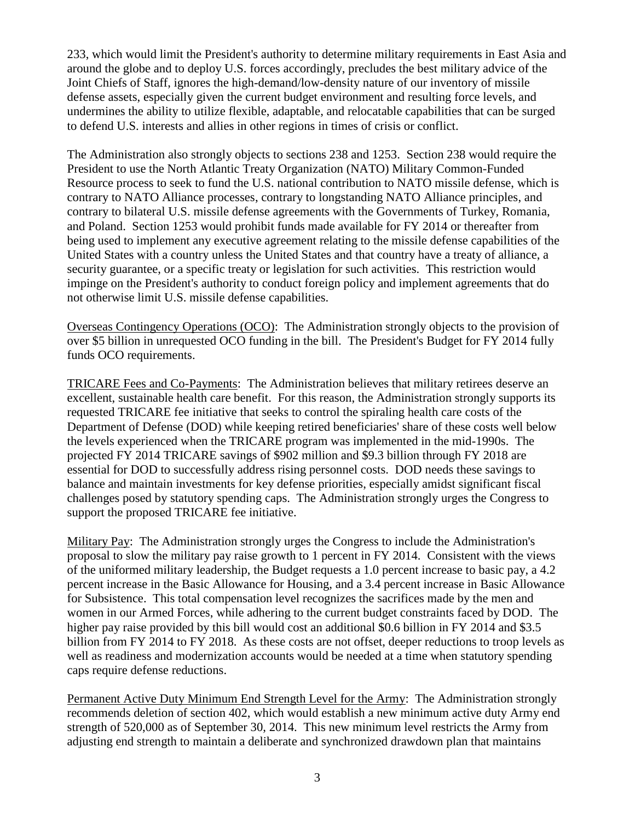233, which would limit the President's authority to determine military requirements in East Asia and around the globe and to deploy U.S. forces accordingly, precludes the best military advice of the Joint Chiefs of Staff, ignores the high-demand/low-density nature of our inventory of missile defense assets, especially given the current budget environment and resulting force levels, and undermines the ability to utilize flexible, adaptable, and relocatable capabilities that can be surged to defend U.S. interests and allies in other regions in times of crisis or conflict.

The Administration also strongly objects to sections 238 and 1253. Section 238 would require the President to use the North Atlantic Treaty Organization (NATO) Military Common-Funded Resource process to seek to fund the U.S. national contribution to NATO missile defense, which is contrary to NATO Alliance processes, contrary to longstanding NATO Alliance principles, and contrary to bilateral U.S. missile defense agreements with the Governments of Turkey, Romania, and Poland. Section 1253 would prohibit funds made available for FY 2014 or thereafter from being used to implement any executive agreement relating to the missile defense capabilities of the United States with a country unless the United States and that country have a treaty of alliance, a security guarantee, or a specific treaty or legislation for such activities. This restriction would impinge on the President's authority to conduct foreign policy and implement agreements that do not otherwise limit U.S. missile defense capabilities.

Overseas Contingency Operations (OCO): The Administration strongly objects to the provision of over \$5 billion in unrequested OCO funding in the bill. The President's Budget for FY 2014 fully funds OCO requirements.

TRICARE Fees and Co-Payments: The Administration believes that military retirees deserve an excellent, sustainable health care benefit. For this reason, the Administration strongly supports its requested TRICARE fee initiative that seeks to control the spiraling health care costs of the Department of Defense (DOD) while keeping retired beneficiaries' share of these costs well below the levels experienced when the TRICARE program was implemented in the mid-1990s. The projected FY 2014 TRICARE savings of \$902 million and \$9.3 billion through FY 2018 are essential for DOD to successfully address rising personnel costs. DOD needs these savings to balance and maintain investments for key defense priorities, especially amidst significant fiscal challenges posed by statutory spending caps. The Administration strongly urges the Congress to support the proposed TRICARE fee initiative.

Military Pay: The Administration strongly urges the Congress to include the Administration's proposal to slow the military pay raise growth to 1 percent in FY 2014. Consistent with the views of the uniformed military leadership, the Budget requests a 1.0 percent increase to basic pay, a 4.2 percent increase in the Basic Allowance for Housing, and a 3.4 percent increase in Basic Allowance for Subsistence. This total compensation level recognizes the sacrifices made by the men and women in our Armed Forces, while adhering to the current budget constraints faced by DOD. The higher pay raise provided by this bill would cost an additional \$0.6 billion in FY 2014 and \$3.5 billion from FY 2014 to FY 2018. As these costs are not offset, deeper reductions to troop levels as well as readiness and modernization accounts would be needed at a time when statutory spending caps require defense reductions.

Permanent Active Duty Minimum End Strength Level for the Army: The Administration strongly recommends deletion of section 402, which would establish a new minimum active duty Army end strength of 520,000 as of September 30, 2014. This new minimum level restricts the Army from adjusting end strength to maintain a deliberate and synchronized drawdown plan that maintains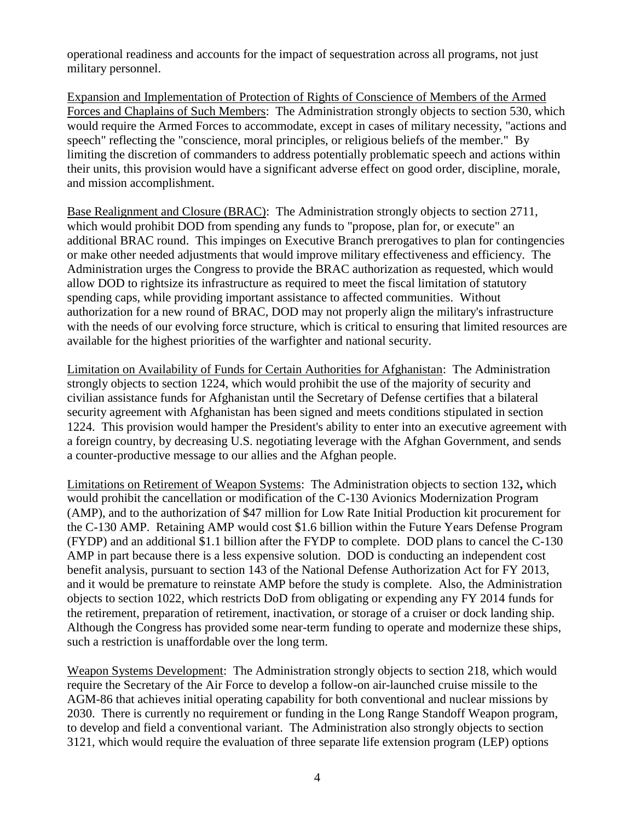operational readiness and accounts for the impact of sequestration across all programs, not just military personnel.

Expansion and Implementation of Protection of Rights of Conscience of Members of the Armed Forces and Chaplains of Such Members: The Administration strongly objects to section 530, which would require the Armed Forces to accommodate, except in cases of military necessity, "actions and speech" reflecting the "conscience, moral principles, or religious beliefs of the member." By limiting the discretion of commanders to address potentially problematic speech and actions within their units, this provision would have a significant adverse effect on good order, discipline, morale, and mission accomplishment.

Base Realignment and Closure (BRAC): The Administration strongly objects to section 2711, which would prohibit DOD from spending any funds to "propose, plan for, or execute" an additional BRAC round. This impinges on Executive Branch prerogatives to plan for contingencies or make other needed adjustments that would improve military effectiveness and efficiency. The Administration urges the Congress to provide the BRAC authorization as requested, which would allow DOD to rightsize its infrastructure as required to meet the fiscal limitation of statutory spending caps, while providing important assistance to affected communities. Without authorization for a new round of BRAC, DOD may not properly align the military's infrastructure with the needs of our evolving force structure, which is critical to ensuring that limited resources are available for the highest priorities of the warfighter and national security.

Limitation on Availability of Funds for Certain Authorities for Afghanistan: The Administration strongly objects to section 1224, which would prohibit the use of the majority of security and civilian assistance funds for Afghanistan until the Secretary of Defense certifies that a bilateral security agreement with Afghanistan has been signed and meets conditions stipulated in section 1224. This provision would hamper the President's ability to enter into an executive agreement with a foreign country, by decreasing U.S. negotiating leverage with the Afghan Government, and sends a counter-productive message to our allies and the Afghan people.

Limitations on Retirement of Weapon Systems: The Administration objects to section 132**,** which would prohibit the cancellation or modification of the C-130 Avionics Modernization Program (AMP), and to the authorization of \$47 million for Low Rate Initial Production kit procurement for the C-130 AMP. Retaining AMP would cost \$1.6 billion within the Future Years Defense Program (FYDP) and an additional \$1.1 billion after the FYDP to complete. DOD plans to cancel the C-130 AMP in part because there is a less expensive solution. DOD is conducting an independent cost benefit analysis, pursuant to section 143 of the National Defense Authorization Act for FY 2013, and it would be premature to reinstate AMP before the study is complete. Also, the Administration objects to section 1022, which restricts DoD from obligating or expending any FY 2014 funds for the retirement, preparation of retirement, inactivation, or storage of a cruiser or dock landing ship. Although the Congress has provided some near-term funding to operate and modernize these ships, such a restriction is unaffordable over the long term.

Weapon Systems Development: The Administration strongly objects to section 218, which would require the Secretary of the Air Force to develop a follow-on air-launched cruise missile to the AGM-86 that achieves initial operating capability for both conventional and nuclear missions by 2030. There is currently no requirement or funding in the Long Range Standoff Weapon program, to develop and field a conventional variant. The Administration also strongly objects to section 3121, which would require the evaluation of three separate life extension program (LEP) options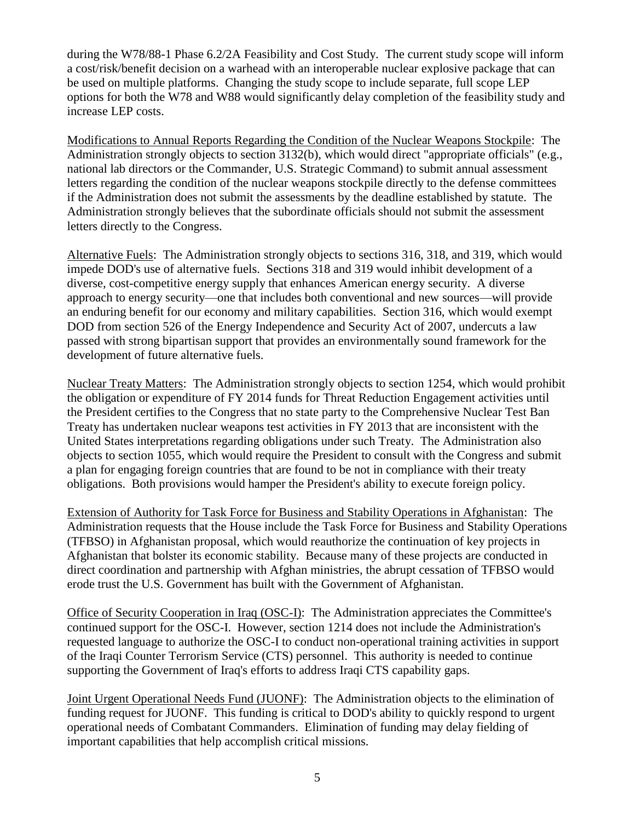during the W78/88-1 Phase 6.2/2A Feasibility and Cost Study. The current study scope will inform a cost/risk/benefit decision on a warhead with an interoperable nuclear explosive package that can be used on multiple platforms. Changing the study scope to include separate, full scope LEP options for both the W78 and W88 would significantly delay completion of the feasibility study and increase LEP costs.

Modifications to Annual Reports Regarding the Condition of the Nuclear Weapons Stockpile: The Administration strongly objects to section 3132(b), which would direct "appropriate officials" (e.g., national lab directors or the Commander, U.S. Strategic Command) to submit annual assessment letters regarding the condition of the nuclear weapons stockpile directly to the defense committees if the Administration does not submit the assessments by the deadline established by statute. The Administration strongly believes that the subordinate officials should not submit the assessment letters directly to the Congress.

Alternative Fuels: The Administration strongly objects to sections 316, 318, and 319, which would impede DOD's use of alternative fuels. Sections 318 and 319 would inhibit development of a diverse, cost-competitive energy supply that enhances American energy security. A diverse approach to energy security—one that includes both conventional and new sources—will provide an enduring benefit for our economy and military capabilities. Section 316, which would exempt DOD from section 526 of the Energy Independence and Security Act of 2007, undercuts a law passed with strong bipartisan support that provides an environmentally sound framework for the development of future alternative fuels.

Nuclear Treaty Matters: The Administration strongly objects to section 1254, which would prohibit the obligation or expenditure of FY 2014 funds for Threat Reduction Engagement activities until the President certifies to the Congress that no state party to the Comprehensive Nuclear Test Ban Treaty has undertaken nuclear weapons test activities in FY 2013 that are inconsistent with the United States interpretations regarding obligations under such Treaty. The Administration also objects to section 1055, which would require the President to consult with the Congress and submit a plan for engaging foreign countries that are found to be not in compliance with their treaty obligations. Both provisions would hamper the President's ability to execute foreign policy.

Extension of Authority for Task Force for Business and Stability Operations in Afghanistan: The Administration requests that the House include the Task Force for Business and Stability Operations (TFBSO) in Afghanistan proposal, which would reauthorize the continuation of key projects in Afghanistan that bolster its economic stability. Because many of these projects are conducted in direct coordination and partnership with Afghan ministries, the abrupt cessation of TFBSO would erode trust the U.S. Government has built with the Government of Afghanistan.

Office of Security Cooperation in Iraq (OSC-I): The Administration appreciates the Committee's continued support for the OSC-I. However, section 1214 does not include the Administration's requested language to authorize the OSC-I to conduct non-operational training activities in support of the Iraqi Counter Terrorism Service (CTS) personnel. This authority is needed to continue supporting the Government of Iraq's efforts to address Iraqi CTS capability gaps.

Joint Urgent Operational Needs Fund (JUONF): The Administration objects to the elimination of funding request for JUONF. This funding is critical to DOD's ability to quickly respond to urgent operational needs of Combatant Commanders. Elimination of funding may delay fielding of important capabilities that help accomplish critical missions.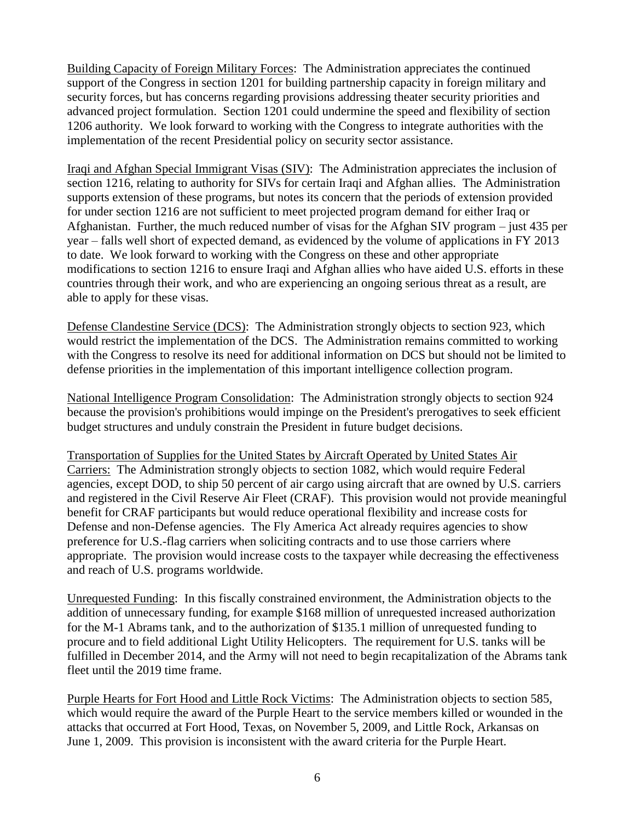Building Capacity of Foreign Military Forces: The Administration appreciates the continued support of the Congress in section 1201 for building partnership capacity in foreign military and security forces, but has concerns regarding provisions addressing theater security priorities and advanced project formulation. Section 1201 could undermine the speed and flexibility of section 1206 authority. We look forward to working with the Congress to integrate authorities with the implementation of the recent Presidential policy on security sector assistance.

Iraqi and Afghan Special Immigrant Visas (SIV): The Administration appreciates the inclusion of section 1216, relating to authority for SIVs for certain Iraqi and Afghan allies. The Administration supports extension of these programs, but notes its concern that the periods of extension provided for under section 1216 are not sufficient to meet projected program demand for either Iraq or Afghanistan. Further, the much reduced number of visas for the Afghan SIV program – just 435 per year – falls well short of expected demand, as evidenced by the volume of applications in FY 2013 to date. We look forward to working with the Congress on these and other appropriate modifications to section 1216 to ensure Iraqi and Afghan allies who have aided U.S. efforts in these countries through their work, and who are experiencing an ongoing serious threat as a result, are able to apply for these visas.

Defense Clandestine Service (DCS): The Administration strongly objects to section 923, which would restrict the implementation of the DCS. The Administration remains committed to working with the Congress to resolve its need for additional information on DCS but should not be limited to defense priorities in the implementation of this important intelligence collection program.

National Intelligence Program Consolidation: The Administration strongly objects to section 924 because the provision's prohibitions would impinge on the President's prerogatives to seek efficient budget structures and unduly constrain the President in future budget decisions.

Transportation of Supplies for the United States by Aircraft Operated by United States Air Carriers: The Administration strongly objects to section 1082, which would require Federal agencies, except DOD, to ship 50 percent of air cargo using aircraft that are owned by U.S. carriers and registered in the Civil Reserve Air Fleet (CRAF). This provision would not provide meaningful benefit for CRAF participants but would reduce operational flexibility and increase costs for Defense and non-Defense agencies. The Fly America Act already requires agencies to show preference for U.S.-flag carriers when soliciting contracts and to use those carriers where appropriate. The provision would increase costs to the taxpayer while decreasing the effectiveness and reach of U.S. programs worldwide.

Unrequested Funding: In this fiscally constrained environment, the Administration objects to the addition of unnecessary funding, for example \$168 million of unrequested increased authorization for the M-1 Abrams tank, and to the authorization of \$135.1 million of unrequested funding to procure and to field additional Light Utility Helicopters. The requirement for U.S. tanks will be fulfilled in December 2014, and the Army will not need to begin recapitalization of the Abrams tank fleet until the 2019 time frame.

Purple Hearts for Fort Hood and Little Rock Victims: The Administration objects to section 585, which would require the award of the Purple Heart to the service members killed or wounded in the attacks that occurred at Fort Hood, Texas, on November 5, 2009, and Little Rock, Arkansas on June 1, 2009. This provision is inconsistent with the award criteria for the Purple Heart.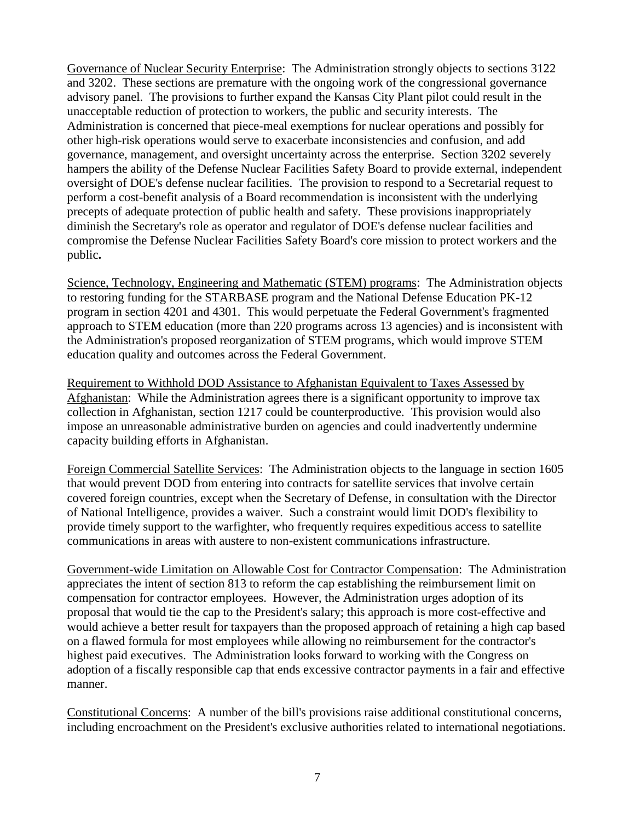Governance of Nuclear Security Enterprise: The Administration strongly objects to sections 3122 and 3202. These sections are premature with the ongoing work of the congressional governance advisory panel. The provisions to further expand the Kansas City Plant pilot could result in the unacceptable reduction of protection to workers, the public and security interests. The Administration is concerned that piece-meal exemptions for nuclear operations and possibly for other high-risk operations would serve to exacerbate inconsistencies and confusion, and add governance, management, and oversight uncertainty across the enterprise. Section 3202 severely hampers the ability of the Defense Nuclear Facilities Safety Board to provide external, independent oversight of DOE's defense nuclear facilities. The provision to respond to a Secretarial request to perform a cost-benefit analysis of a Board recommendation is inconsistent with the underlying precepts of adequate protection of public health and safety. These provisions inappropriately diminish the Secretary's role as operator and regulator of DOE's defense nuclear facilities and compromise the Defense Nuclear Facilities Safety Board's core mission to protect workers and the public**.**

Science, Technology, Engineering and Mathematic (STEM) programs: The Administration objects to restoring funding for the STARBASE program and the National Defense Education PK-12 program in section 4201 and 4301. This would perpetuate the Federal Government's fragmented approach to STEM education (more than 220 programs across 13 agencies) and is inconsistent with the Administration's proposed reorganization of STEM programs, which would improve STEM education quality and outcomes across the Federal Government.

Requirement to Withhold DOD Assistance to Afghanistan Equivalent to Taxes Assessed by Afghanistan: While the Administration agrees there is a significant opportunity to improve tax collection in Afghanistan, section 1217 could be counterproductive. This provision would also impose an unreasonable administrative burden on agencies and could inadvertently undermine capacity building efforts in Afghanistan.

Foreign Commercial Satellite Services: The Administration objects to the language in section 1605 that would prevent DOD from entering into contracts for satellite services that involve certain covered foreign countries, except when the Secretary of Defense, in consultation with the Director of National Intelligence, provides a waiver. Such a constraint would limit DOD's flexibility to provide timely support to the warfighter, who frequently requires expeditious access to satellite communications in areas with austere to non-existent communications infrastructure.

Government-wide Limitation on Allowable Cost for Contractor Compensation: The Administration appreciates the intent of section 813 to reform the cap establishing the reimbursement limit on compensation for contractor employees. However, the Administration urges adoption of its proposal that would tie the cap to the President's salary; this approach is more cost-effective and would achieve a better result for taxpayers than the proposed approach of retaining a high cap based on a flawed formula for most employees while allowing no reimbursement for the contractor's highest paid executives. The Administration looks forward to working with the Congress on adoption of a fiscally responsible cap that ends excessive contractor payments in a fair and effective manner.

Constitutional Concerns: A number of the bill's provisions raise additional constitutional concerns, including encroachment on the President's exclusive authorities related to international negotiations.